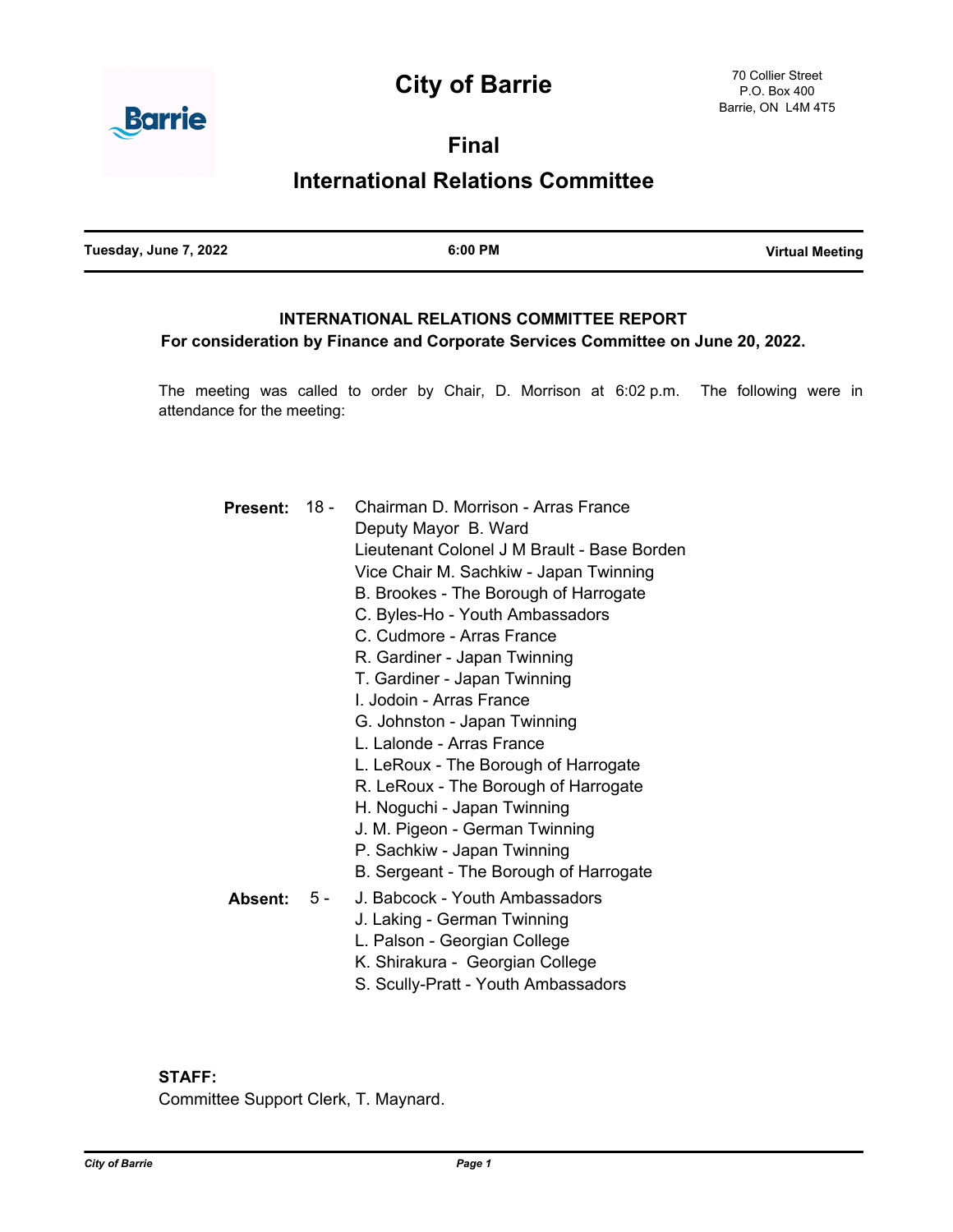# **City of Barrie**



**Final**

# **International Relations Committee**

# **INTERNATIONAL RELATIONS COMMITTEE REPORT**

# **For consideration by Finance and Corporate Services Committee on June 20, 2022.**

The meeting was called to order by Chair, D. Morrison at 6:02 p.m. The following were in attendance for the meeting:

| Present: 18 - |     | Chairman D. Morrison - Arras France         |
|---------------|-----|---------------------------------------------|
|               |     | Deputy Mayor B. Ward                        |
|               |     | Lieutenant Colonel J M Brault - Base Borden |
|               |     | Vice Chair M. Sachkiw - Japan Twinning      |
|               |     | B. Brookes - The Borough of Harrogate       |
|               |     | C. Byles-Ho - Youth Ambassadors             |
|               |     | C. Cudmore - Arras France                   |
|               |     | R. Gardiner - Japan Twinning                |
|               |     | T. Gardiner - Japan Twinning                |
|               |     | L. Jodoin - Arras France                    |
|               |     | G. Johnston - Japan Twinning                |
|               |     | L. Lalonde - Arras France                   |
|               |     | L. LeRoux - The Borough of Harrogate        |
|               |     | R. LeRoux - The Borough of Harrogate        |
|               |     | H. Noguchi - Japan Twinning                 |
|               |     | J. M. Pigeon - German Twinning              |
|               |     | P. Sachkiw - Japan Twinning                 |
|               |     | B. Sergeant - The Borough of Harrogate      |
| Absent:       | 5 - | J. Babcock - Youth Ambassadors              |
|               |     | J. Laking - German Twinning                 |
|               |     | L. Palson - Georgian College                |
|               |     | K. Shirakura - Georgian College             |
|               |     | S. Scully-Pratt - Youth Ambassadors         |

# **STAFF:**

Committee Support Clerk, T. Maynard.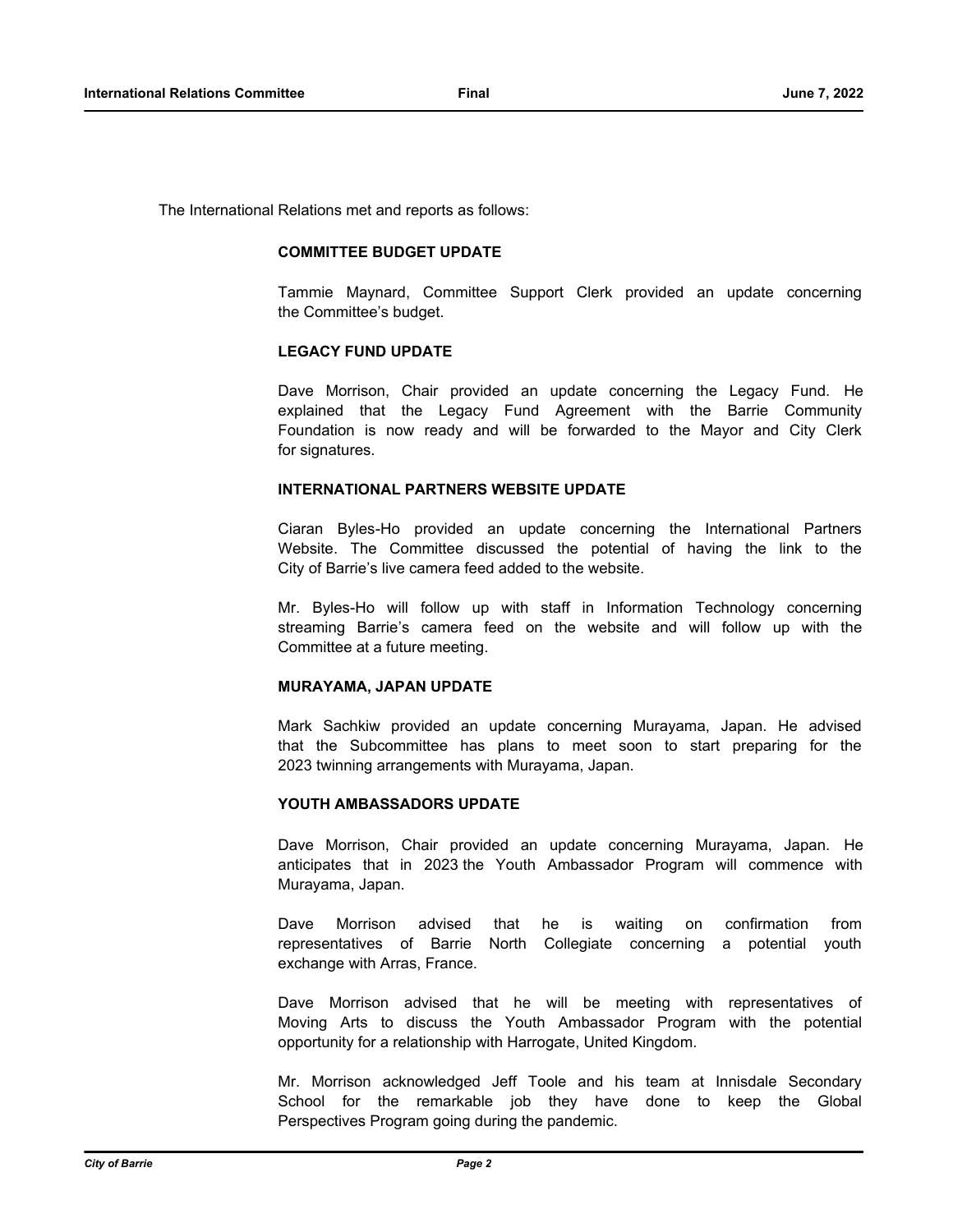The International Relations met and reports as follows:

### **COMMITTEE BUDGET UPDATE**

Tammie Maynard, Committee Support Clerk provided an update concerning the Committee's budget.

### **LEGACY FUND UPDATE**

Dave Morrison, Chair provided an update concerning the Legacy Fund. He explained that the Legacy Fund Agreement with the Barrie Community Foundation is now ready and will be forwarded to the Mayor and City Clerk for signatures.

# **INTERNATIONAL PARTNERS WEBSITE UPDATE**

Ciaran Byles-Ho provided an update concerning the International Partners Website. The Committee discussed the potential of having the link to the City of Barrie's live camera feed added to the website.

Mr. Byles-Ho will follow up with staff in Information Technology concerning streaming Barrie's camera feed on the website and will follow up with the Committee at a future meeting.

#### **MURAYAMA, JAPAN UPDATE**

Mark Sachkiw provided an update concerning Murayama, Japan. He advised that the Subcommittee has plans to meet soon to start preparing for the 2023 twinning arrangements with Murayama, Japan.

# **YOUTH AMBASSADORS UPDATE**

Dave Morrison, Chair provided an update concerning Murayama, Japan. He anticipates that in 2023 the Youth Ambassador Program will commence with Murayama, Japan.

Dave Morrison advised that he is waiting on confirmation from representatives of Barrie North Collegiate concerning a potential youth exchange with Arras, France.

Dave Morrison advised that he will be meeting with representatives of Moving Arts to discuss the Youth Ambassador Program with the potential opportunity for a relationship with Harrogate, United Kingdom.

Mr. Morrison acknowledged Jeff Toole and his team at Innisdale Secondary School for the remarkable job they have done to keep the Global Perspectives Program going during the pandemic.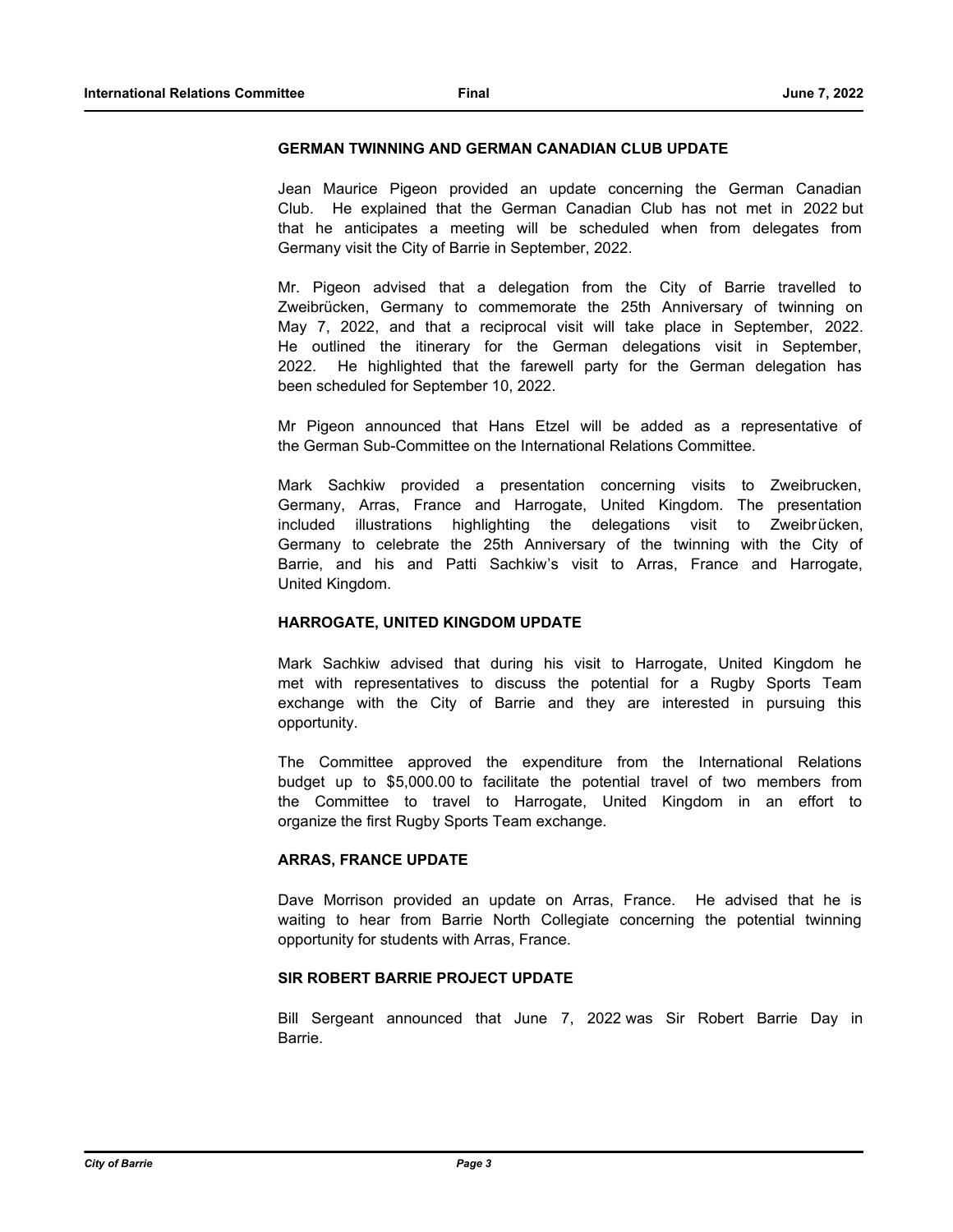### **GERMAN TWINNING AND GERMAN CANADIAN CLUB UPDATE**

Jean Maurice Pigeon provided an update concerning the German Canadian Club. He explained that the German Canadian Club has not met in 2022 but that he anticipates a meeting will be scheduled when from delegates from Germany visit the City of Barrie in September, 2022.

Mr. Pigeon advised that a delegation from the City of Barrie travelled to Zweibrücken, Germany to commemorate the 25th Anniversary of twinning on May 7, 2022, and that a reciprocal visit will take place in September, 2022. He outlined the itinerary for the German delegations visit in September, 2022. He highlighted that the farewell party for the German delegation has been scheduled for September 10, 2022.

Mr Pigeon announced that Hans Etzel will be added as a representative of the German Sub-Committee on the International Relations Committee.

Mark Sachkiw provided a presentation concerning visits to Zweibrucken, Germany, Arras, France and Harrogate, United Kingdom. The presentation included illustrations highlighting the delegations visit to Zweibrücken, Germany to celebrate the 25th Anniversary of the twinning with the City of Barrie, and his and Patti Sachkiw's visit to Arras, France and Harrogate, United Kingdom.

## **HARROGATE, UNITED KINGDOM UPDATE**

Mark Sachkiw advised that during his visit to Harrogate, United Kingdom he met with representatives to discuss the potential for a Rugby Sports Team exchange with the City of Barrie and they are interested in pursuing this opportunity.

The Committee approved the expenditure from the International Relations budget up to \$5,000.00 to facilitate the potential travel of two members from the Committee to travel to Harrogate, United Kingdom in an effort to organize the first Rugby Sports Team exchange.

## **ARRAS, FRANCE UPDATE**

Dave Morrison provided an update on Arras, France. He advised that he is waiting to hear from Barrie North Collegiate concerning the potential twinning opportunity for students with Arras, France.

# **SIR ROBERT BARRIE PROJECT UPDATE**

Bill Sergeant announced that June 7, 2022 was Sir Robert Barrie Day in Barrie.